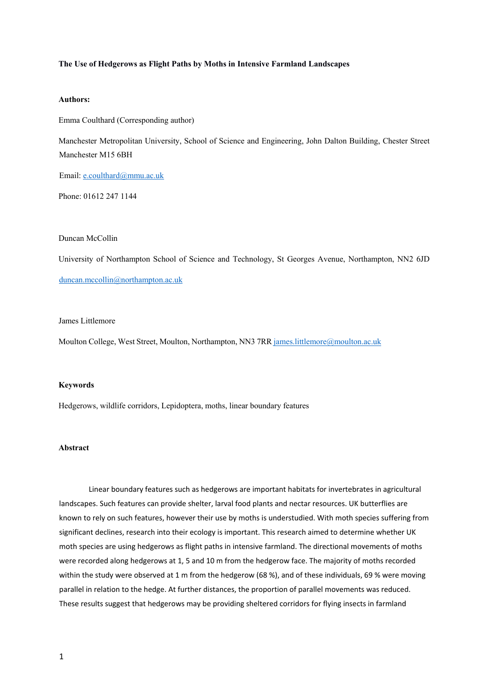### **The Use of Hedgerows as Flight Paths by Moths in Intensive Farmland Landscapes**

## **Authors:**

Emma Coulthard (Corresponding author)

Manchester Metropolitan University, School of Science and Engineering, John Dalton Building, Chester Street Manchester M15 6BH

Email: e.coulthard@mmu.ac.uk

Phone: 01612 247 1144

## Duncan McCollin

University of Northampton School of Science and Technology, St Georges Avenue, Northampton, NN2 6JD duncan.mccollin@northampton.ac.uk

# James Littlemore

Moulton College, West Street, Moulton, Northampton, NN3 7RR james.littlemore@moulton.ac.uk

### **Keywords**

Hedgerows, wildlife corridors, Lepidoptera, moths, linear boundary features

## **Abstract**

Linear boundary features such as hedgerows are important habitats for invertebrates in agricultural landscapes. Such features can provide shelter, larval food plants and nectar resources. UK butterflies are known to rely on such features, however their use by moths is understudied. With moth species suffering from significant declines, research into their ecology is important. This research aimed to determine whether UK moth species are using hedgerows as flight paths in intensive farmland. The directional movements of moths were recorded along hedgerows at 1, 5 and 10 m from the hedgerow face. The majority of moths recorded within the study were observed at 1 m from the hedgerow (68 %), and of these individuals, 69 % were moving parallel in relation to the hedge. At further distances, the proportion of parallel movements was reduced. These results suggest that hedgerows may be providing sheltered corridors for flying insects in farmland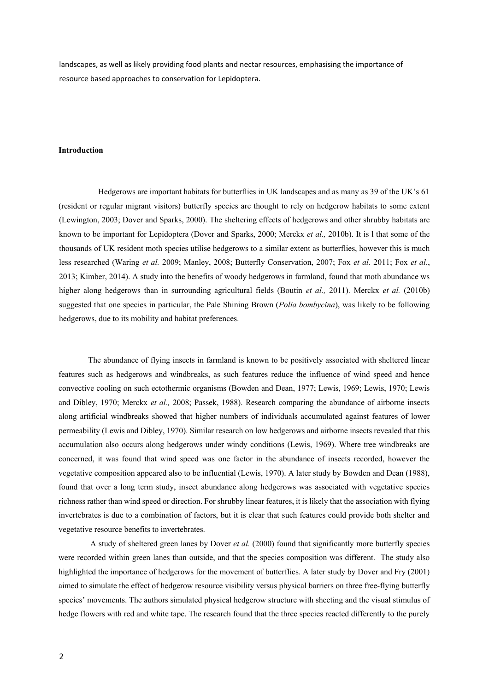landscapes, as well as likely providing food plants and nectar resources, emphasising the importance of resource based approaches to conservation for Lepidoptera.

## **Introduction**

Hedgerows are important habitats for butterflies in UK landscapes and as many as 39 of the UK's 61 (resident or regular migrant visitors) butterfly species are thought to rely on hedgerow habitats to some extent (Lewington, 2003; Dover and Sparks, 2000). The sheltering effects of hedgerows and other shrubby habitats are known to be important for Lepidoptera (Dover and Sparks, 2000; Merckx *et al.,* 2010b). It is l that some of the thousands of UK resident moth species utilise hedgerows to a similar extent as butterflies, however this is much less researched (Waring *et al.* 2009; Manley, 2008; Butterfly Conservation, 2007; Fox *et al.* 2011; Fox *et al*., 2013; Kimber, 2014). A study into the benefits of woody hedgerows in farmland, found that moth abundance ws higher along hedgerows than in surrounding agricultural fields (Boutin *et al.,* 2011). Merckx *et al.* (2010b) suggested that one species in particular, the Pale Shining Brown (*Polia bombycina*), was likely to be following hedgerows, due to its mobility and habitat preferences.

The abundance of flying insects in farmland is known to be positively associated with sheltered linear features such as hedgerows and windbreaks, as such features reduce the influence of wind speed and hence convective cooling on such ectothermic organisms (Bowden and Dean, 1977; Lewis, 1969; Lewis, 1970; Lewis and Dibley, 1970; Merckx *et al.,* 2008; Passek, 1988). Research comparing the abundance of airborne insects along artificial windbreaks showed that higher numbers of individuals accumulated against features of lower permeability (Lewis and Dibley, 1970). Similar research on low hedgerows and airborne insects revealed that this accumulation also occurs along hedgerows under windy conditions (Lewis, 1969). Where tree windbreaks are concerned, it was found that wind speed was one factor in the abundance of insects recorded, however the vegetative composition appeared also to be influential (Lewis, 1970). A later study by Bowden and Dean (1988), found that over a long term study, insect abundance along hedgerows was associated with vegetative species richness rather than wind speed or direction. For shrubby linear features, it is likely that the association with flying invertebrates is due to a combination of factors, but it is clear that such features could provide both shelter and vegetative resource benefits to invertebrates.

A study of sheltered green lanes by Dover *et al.* (2000) found that significantly more butterfly species were recorded within green lanes than outside, and that the species composition was different. The study also highlighted the importance of hedgerows for the movement of butterflies. A later study by Dover and Fry (2001) aimed to simulate the effect of hedgerow resource visibility versus physical barriers on three free-flying butterfly species' movements. The authors simulated physical hedgerow structure with sheeting and the visual stimulus of hedge flowers with red and white tape. The research found that the three species reacted differently to the purely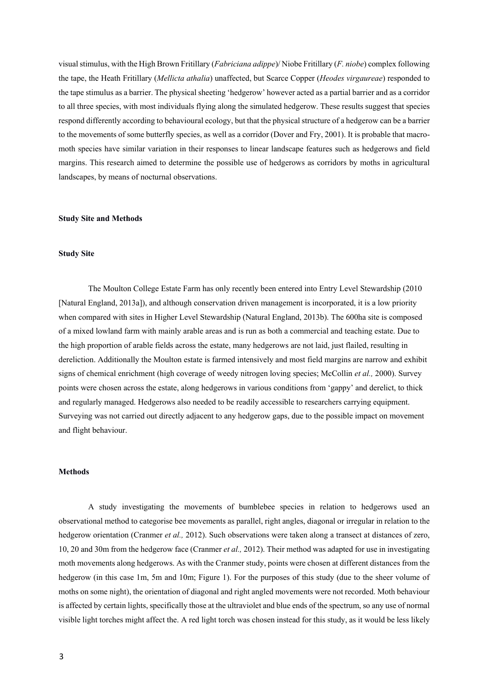visualstimulus, with the High Brown Fritillary (*Fabriciana adippe*)/ Niobe Fritillary (*F. niobe*) complex following the tape, the Heath Fritillary (*Mellicta athalia*) unaffected, but Scarce Copper (*Heodes virgaureae*) responded to the tape stimulus as a barrier. The physical sheeting 'hedgerow' however acted as a partial barrier and as a corridor to all three species, with most individuals flying along the simulated hedgerow. These results suggest that species respond differently according to behavioural ecology, but that the physical structure of a hedgerow can be a barrier to the movements of some butterfly species, as well as a corridor (Dover and Fry, 2001). It is probable that macromoth species have similar variation in their responses to linear landscape features such as hedgerows and field margins. This research aimed to determine the possible use of hedgerows as corridors by moths in agricultural landscapes, by means of nocturnal observations.

#### **Study Site and Methods**

### **Study Site**

The Moulton College Estate Farm has only recently been entered into Entry Level Stewardship (2010 [Natural England, 2013a]), and although conservation driven management is incorporated, it is a low priority when compared with sites in Higher Level Stewardship (Natural England, 2013b). The 600ha site is composed of a mixed lowland farm with mainly arable areas and is run as both a commercial and teaching estate. Due to the high proportion of arable fields across the estate, many hedgerows are not laid, just flailed, resulting in dereliction. Additionally the Moulton estate is farmed intensively and most field margins are narrow and exhibit signs of chemical enrichment (high coverage of weedy nitrogen loving species; McCollin *et al.,* 2000). Survey points were chosen across the estate, along hedgerows in various conditions from 'gappy' and derelict, to thick and regularly managed. Hedgerows also needed to be readily accessible to researchers carrying equipment. Surveying was not carried out directly adjacent to any hedgerow gaps, due to the possible impact on movement and flight behaviour.

## **Methods**

A study investigating the movements of bumblebee species in relation to hedgerows used an observational method to categorise bee movements as parallel, right angles, diagonal or irregular in relation to the hedgerow orientation (Cranmer *et al.,* 2012). Such observations were taken along a transect at distances of zero, 10, 20 and 30m from the hedgerow face (Cranmer *et al.,* 2012). Their method was adapted for use in investigating moth movements along hedgerows. As with the Cranmer study, points were chosen at different distances from the hedgerow (in this case 1m, 5m and 10m; Figure 1). For the purposes of this study (due to the sheer volume of moths on some night), the orientation of diagonal and right angled movements were not recorded. Moth behaviour is affected by certain lights, specifically those at the ultraviolet and blue ends of the spectrum, so any use of normal visible light torches might affect the. A red light torch was chosen instead for this study, as it would be less likely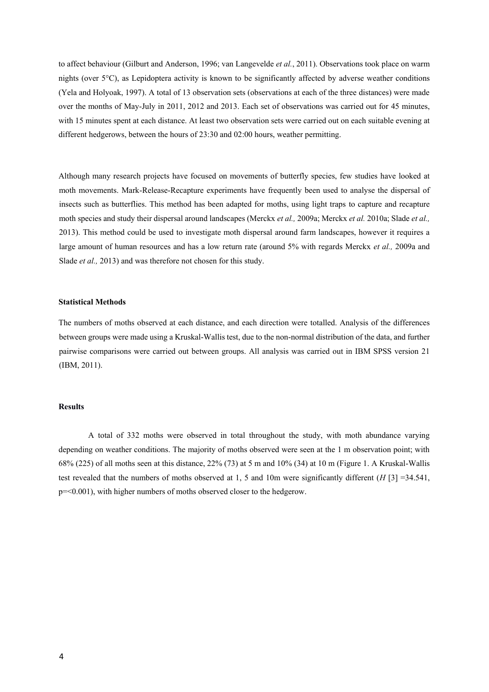to affect behaviour (Gilburt and Anderson, 1996; van Langevelde *et al.*, 2011). Observations took place on warm nights (over 5°C), as Lepidoptera activity is known to be significantly affected by adverse weather conditions (Yela and Holyoak, 1997). A total of 13 observation sets (observations at each of the three distances) were made over the months of May-July in 2011, 2012 and 2013. Each set of observations was carried out for 45 minutes, with 15 minutes spent at each distance. At least two observation sets were carried out on each suitable evening at different hedgerows, between the hours of 23:30 and 02:00 hours, weather permitting.

Although many research projects have focused on movements of butterfly species, few studies have looked at moth movements. Mark-Release-Recapture experiments have frequently been used to analyse the dispersal of insects such as butterflies. This method has been adapted for moths, using light traps to capture and recapture moth species and study their dispersal around landscapes (Merckx *et al.,* 2009a; Merckx *et al.* 2010a; Slade *et al.,* 2013). This method could be used to investigate moth dispersal around farm landscapes, however it requires a large amount of human resources and has a low return rate (around 5% with regards Merckx *et al.,* 2009a and Slade *et al.,* 2013) and was therefore not chosen for this study.

## **Statistical Methods**

The numbers of moths observed at each distance, and each direction were totalled. Analysis of the differences between groups were made using a Kruskal-Wallis test, due to the non-normal distribution of the data, and further pairwise comparisons were carried out between groups. All analysis was carried out in IBM SPSS version 21 (IBM, 2011).

## **Results**

A total of 332 moths were observed in total throughout the study, with moth abundance varying depending on weather conditions. The majority of moths observed were seen at the 1 m observation point; with 68% (225) of all moths seen at this distance, 22% (73) at 5 m and 10% (34) at 10 m (Figure 1. A Kruskal-Wallis test revealed that the numbers of moths observed at 1, 5 and 10m were significantly different (*H* [3] =34.541, p=<0.001), with higher numbers of moths observed closer to the hedgerow.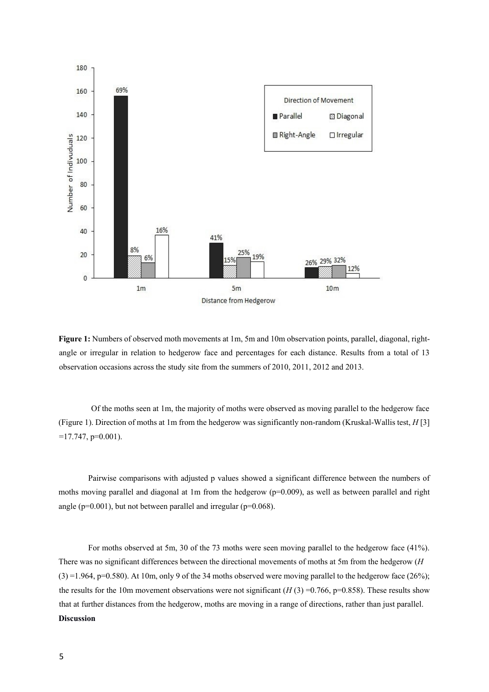

**Figure 1:** Numbers of observed moth movements at 1m, 5m and 10m observation points, parallel, diagonal, rightangle or irregular in relation to hedgerow face and percentages for each distance. Results from a total of 13 observation occasions across the study site from the summers of 2010, 2011, 2012 and 2013.

Of the moths seen at 1m, the majority of moths were observed as moving parallel to the hedgerow face (Figure 1). Direction of moths at 1m from the hedgerow was significantly non-random (Kruskal-Wallis test, *H* [3]  $=17.747, p=0.001$ ).

Pairwise comparisons with adjusted p values showed a significant difference between the numbers of moths moving parallel and diagonal at 1m from the hedgerow (p=0.009), as well as between parallel and right angle (p=0.001), but not between parallel and irregular (p=0.068).

For moths observed at 5m, 30 of the 73 moths were seen moving parallel to the hedgerow face (41%). There was no significant differences between the directional movements of moths at 5m from the hedgerow (*H*   $(3) = 1.964$ , p=0.580). At 10m, only 9 of the 34 moths observed were moving parallel to the hedgerow face (26%); the results for the 10m movement observations were not significant  $(H(3) = 0.766, p=0.858)$ . These results show that at further distances from the hedgerow, moths are moving in a range of directions, rather than just parallel. **Discussion**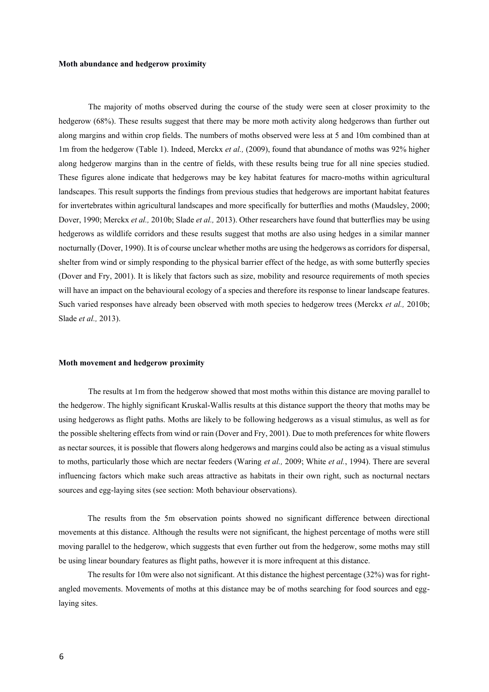### **Moth abundance and hedgerow proximity**

The majority of moths observed during the course of the study were seen at closer proximity to the hedgerow (68%). These results suggest that there may be more moth activity along hedgerows than further out along margins and within crop fields. The numbers of moths observed were less at 5 and 10m combined than at 1m from the hedgerow (Table 1). Indeed, Merckx *et al.,* (2009), found that abundance of moths was 92% higher along hedgerow margins than in the centre of fields, with these results being true for all nine species studied. These figures alone indicate that hedgerows may be key habitat features for macro-moths within agricultural landscapes. This result supports the findings from previous studies that hedgerows are important habitat features for invertebrates within agricultural landscapes and more specifically for butterflies and moths (Maudsley, 2000; Dover, 1990; Merckx *et al.,* 2010b; Slade *et al.,* 2013). Other researchers have found that butterflies may be using hedgerows as wildlife corridors and these results suggest that moths are also using hedges in a similar manner nocturnally (Dover, 1990). It is of course unclear whether moths are using the hedgerows as corridors for dispersal, shelter from wind or simply responding to the physical barrier effect of the hedge, as with some butterfly species (Dover and Fry, 2001). It is likely that factors such as size, mobility and resource requirements of moth species will have an impact on the behavioural ecology of a species and therefore its response to linear landscape features. Such varied responses have already been observed with moth species to hedgerow trees (Merckx *et al.,* 2010b; Slade *et al.,* 2013).

### **Moth movement and hedgerow proximity**

The results at 1m from the hedgerow showed that most moths within this distance are moving parallel to the hedgerow. The highly significant Kruskal-Wallis results at this distance support the theory that moths may be using hedgerows as flight paths. Moths are likely to be following hedgerows as a visual stimulus, as well as for the possible sheltering effects from wind or rain (Dover and Fry, 2001). Due to moth preferences for white flowers as nectar sources, it is possible that flowers along hedgerows and margins could also be acting as a visual stimulus to moths, particularly those which are nectar feeders (Waring *et al.,* 2009; White *et al.*, 1994). There are several influencing factors which make such areas attractive as habitats in their own right, such as nocturnal nectars sources and egg-laying sites (see section: Moth behaviour observations).

The results from the 5m observation points showed no significant difference between directional movements at this distance. Although the results were not significant, the highest percentage of moths were still moving parallel to the hedgerow, which suggests that even further out from the hedgerow, some moths may still be using linear boundary features as flight paths, however it is more infrequent at this distance.

The results for 10m were also not significant. At this distance the highest percentage (32%) was for rightangled movements. Movements of moths at this distance may be of moths searching for food sources and egglaying sites.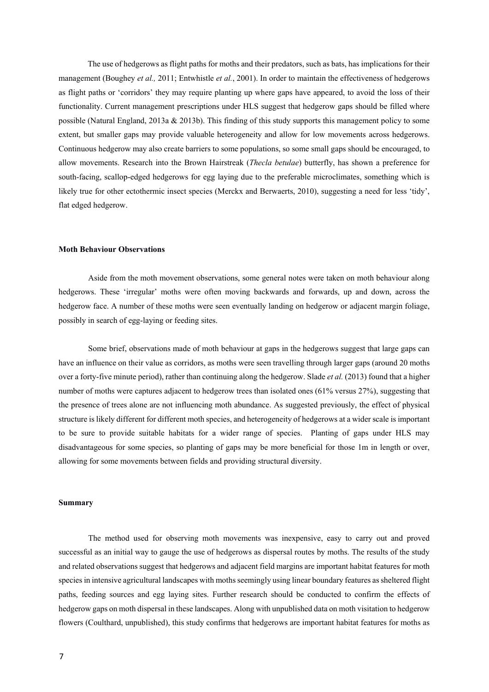The use of hedgerows as flight paths for moths and their predators, such as bats, has implications for their management (Boughey *et al.,* 2011; Entwhistle *et al.*, 2001). In order to maintain the effectiveness of hedgerows as flight paths or 'corridors' they may require planting up where gaps have appeared, to avoid the loss of their functionality. Current management prescriptions under HLS suggest that hedgerow gaps should be filled where possible (Natural England, 2013a & 2013b). This finding of this study supports this management policy to some extent, but smaller gaps may provide valuable heterogeneity and allow for low movements across hedgerows. Continuous hedgerow may also create barriers to some populations, so some small gaps should be encouraged, to allow movements. Research into the Brown Hairstreak (*Thecla betulae*) butterfly, has shown a preference for south-facing, scallop-edged hedgerows for egg laying due to the preferable microclimates, something which is likely true for other ectothermic insect species (Merckx and Berwaerts, 2010), suggesting a need for less 'tidy', flat edged hedgerow.

## **Moth Behaviour Observations**

Aside from the moth movement observations, some general notes were taken on moth behaviour along hedgerows. These 'irregular' moths were often moving backwards and forwards, up and down, across the hedgerow face. A number of these moths were seen eventually landing on hedgerow or adjacent margin foliage, possibly in search of egg-laying or feeding sites.

Some brief, observations made of moth behaviour at gaps in the hedgerows suggest that large gaps can have an influence on their value as corridors, as moths were seen travelling through larger gaps (around 20 moths over a forty-five minute period), rather than continuing along the hedgerow. Slade *et al.* (2013) found that a higher number of moths were captures adjacent to hedgerow trees than isolated ones (61% versus 27%), suggesting that the presence of trees alone are not influencing moth abundance. As suggested previously, the effect of physical structure is likely different for different moth species, and heterogeneity of hedgerows at a wider scale is important to be sure to provide suitable habitats for a wider range of species. Planting of gaps under HLS may disadvantageous for some species, so planting of gaps may be more beneficial for those 1m in length or over, allowing for some movements between fields and providing structural diversity.

### **Summary**

The method used for observing moth movements was inexpensive, easy to carry out and proved successful as an initial way to gauge the use of hedgerows as dispersal routes by moths. The results of the study and related observations suggest that hedgerows and adjacent field margins are important habitat features for moth species in intensive agricultural landscapes with moths seemingly using linear boundary features as sheltered flight paths, feeding sources and egg laying sites. Further research should be conducted to confirm the effects of hedgerow gaps on moth dispersal in these landscapes. Along with unpublished data on moth visitation to hedgerow flowers (Coulthard, unpublished), this study confirms that hedgerows are important habitat features for moths as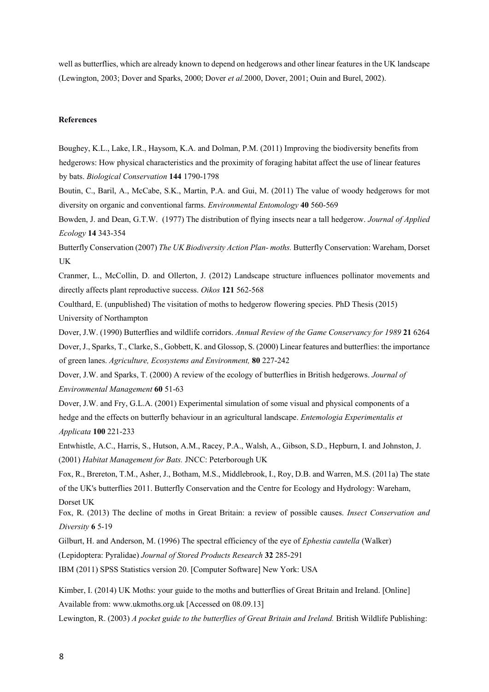well as butterflies, which are already known to depend on hedgerows and other linear features in the UK landscape (Lewington, 2003; Dover and Sparks, 2000; Dover *et al.*2000, Dover, 2001; Ouin and Burel, 2002).

### **References**

Boughey, K.L., Lake, I.R., Haysom, K.A. and Dolman, P.M. (2011) Improving the biodiversity benefits from hedgerows: How physical characteristics and the proximity of foraging habitat affect the use of linear features by bats. *Biological Conservation* **144** 1790-1798

Boutin, C., Baril, A., McCabe, S.K., Martin, P.A. and Gui, M. (2011) The value of woody hedgerows for mot diversity on organic and conventional farms. *Environmental Entomology* **40** 560-569

Bowden, J. and Dean, G.T.W. (1977) The distribution of flying insects near a tall hedgerow. *Journal of Applied Ecology* **14** 343-354

Butterfly Conservation (2007) *The UK Biodiversity Action Plan- moths.* Butterfly Conservation: Wareham, Dorset UK

Cranmer, L., McCollin, D. and Ollerton, J. (2012) Landscape structure influences pollinator movements and directly affects plant reproductive success. *Oikos* **121** 562-568

Coulthard, E. (unpublished) The visitation of moths to hedgerow flowering species. PhD Thesis (2015) University of Northampton

Dover, J.W. (1990) Butterflies and wildlife corridors. *Annual Review of the Game Conservancy for 1989* **21** 6264 Dover, J., Sparks, T., Clarke, S., Gobbett, K. and Glossop, S. (2000) Linear features and butterflies: the importance of green lanes. *Agriculture, Ecosystems and Environment,* **80** 227-242

Dover, J.W. and Sparks, T. (2000) A review of the ecology of butterflies in British hedgerows. *Journal of Environmental Management* **60** 51-63

Dover, J.W. and Fry, G.L.A. (2001) Experimental simulation of some visual and physical components of a hedge and the effects on butterfly behaviour in an agricultural landscape. *Entemologia Experimentalis et Applicata* **100** 221-233

Entwhistle, A.C., Harris, S., Hutson, A.M., Racey, P.A., Walsh, A., Gibson, S.D., Hepburn, I. and Johnston, J. (2001) *Habitat Management for Bats.* JNCC: Peterborough UK

Fox, R., Brereton, T.M., Asher, J., Botham, M.S., Middlebrook, I., Roy, D.B. and Warren, M.S. (2011a) The state of the UK's butterflies 2011. Butterfly Conservation and the Centre for Ecology and Hydrology: Wareham, Dorset UK

Fox, R. (2013) The decline of moths in Great Britain: a review of possible causes. *Insect Conservation and Diversity* **6** 5-19

Gilburt, H. and Anderson, M. (1996) The spectral efficiency of the eye of *Ephestia cautella* (Walker)

(Lepidoptera: Pyralidae) *Journal of Stored Products Research* **32** 285-291

IBM (2011) SPSS Statistics version 20. [Computer Software] New York: USA

Kimber, I. (2014) UK Moths: your guide to the moths and butterflies of Great Britain and Ireland. [Online] Available from: [www.ukmoths.org.uk](http://www.ukmoths.org.uk/) [Accessed on 08.09.13] Lewington, R. (2003) *A pocket guide to the butterflies of Great Britain and Ireland.* British Wildlife Publishing: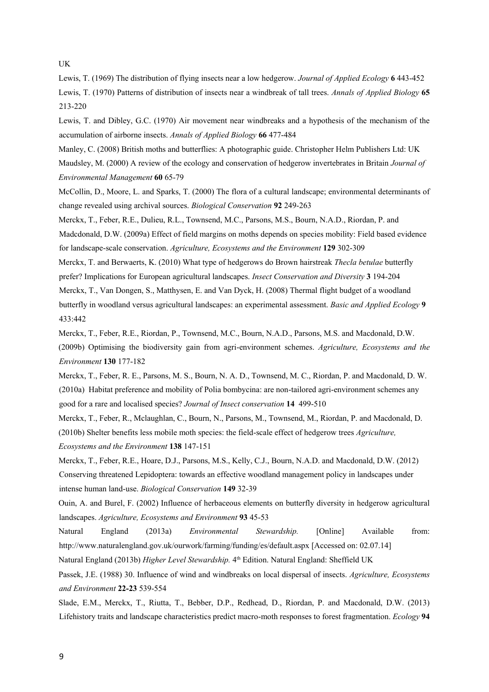UK

Lewis, T. (1969) The distribution of flying insects near a low hedgerow. *Journal of Applied Ecology* **6** 443-452 Lewis, T. (1970) Patterns of distribution of insects near a windbreak of tall trees. *Annals of Applied Biology* **65**  213-220

Lewis, T. and Dibley, G.C. (1970) Air movement near windbreaks and a hypothesis of the mechanism of the accumulation of airborne insects. *Annals of Applied Biology* **66** 477-484

Manley, C. (2008) British moths and butterflies: A photographic guide. Christopher Helm Publishers Ltd: UK Maudsley, M. (2000) A review of the ecology and conservation of hedgerow invertebrates in Britain *Journal of Environmental Management* **60** 65-79

McCollin, D., Moore, L. and Sparks, T. (2000) The flora of a cultural landscape; environmental determinants of change revealed using archival sources. *Biological Conservation* **92** 249-263

Merckx, T., Feber, R.E., Dulieu, R.L., Townsend, M.C., Parsons, M.S., Bourn, N.A.D., Riordan, P. and Madcdonald, D.W. (2009a) Effect of field margins on moths depends on species mobility: Field based evidence for landscape-scale conservation. *Agriculture, Ecosystems and the Environment* **129** 302-309

Merckx, T. and Berwaerts, K. (2010) What type of hedgerows do Brown hairstreak *Thecla betulae* butterfly prefer? Implications for European agricultural landscapes. *Insect Conservation and Diversity* **3** 194-204 Merckx, T., Van Dongen, S., Matthysen, E. and Van Dyck, H. (2008) Thermal flight budget of a woodland butterfly in woodland versus agricultural landscapes: an experimental assessment. *Basic and Applied Ecology* **9**  433:442

Merckx, T., Feber, R.E., Riordan, P., Townsend, M.C., Bourn, N.A.D., Parsons, M.S. and Macdonald, D.W. (2009b) Optimising the biodiversity gain from agri-environment schemes. *Agriculture, Ecosystems and the Environment* **130** 177-182

Merckx, T., Feber, R. E., Parsons, M. S., Bourn, N. A. D., Townsend, M. C., Riordan, P. and Macdonald, D. W. (2010a) Habitat preference and mobility of Polia bombycina: are non-tailored agri-environment schemes any good for a rare and localised species? *Journal of Insect conservation* **14** 499-510

Merckx, T., Feber, R., Mclaughlan, C., Bourn, N., Parsons, M., Townsend, M., Riordan, P. and Macdonald, D. (2010b) Shelter benefits less mobile moth species: the field-scale effect of hedgerow trees *Agriculture, Ecosystems and the Environment* **138** 147-151

Merckx, T., Feber, R.E., Hoare, D.J., Parsons, M.S., Kelly, C.J., Bourn, N.A.D. and Macdonald, D.W. (2012) Conserving threatened Lepidoptera: towards an effective woodland management policy in landscapes under intense human land-use. *Biological Conservation* **149** 32-39

Ouin, A. and Burel, F. (2002) Influence of herbaceous elements on butterfly diversity in hedgerow agricultural landscapes. *Agriculture, Ecosystems and Environment* **93** 45-53

Natural England (2013a) *Environmental Stewardship.* [Online] Available from: <http://www.naturalengland.gov.uk/ourwork/farming/funding/es/default.aspx> [\[](http://www.naturalengland.gov.uk/ourwork/farming/funding/es/default.aspx)Accessed on: 02.07.14] Natural England (2013b) *Higher Level Stewardship.* 4 th Edition. Natural England: Sheffield UK

Passek, J.E. (1988) 30. Influence of wind and windbreaks on local dispersal of insects. *Agriculture, Ecosystems and Environment* **22-23** 539-554

Slade, E.M., Merckx, T., Riutta, T., Bebber, D.P., Redhead, D., Riordan, P. and Macdonald, D.W. (2013) Lifehistory traits and landscape characteristics predict macro-moth responses to forest fragmentation. *Ecology* **94**